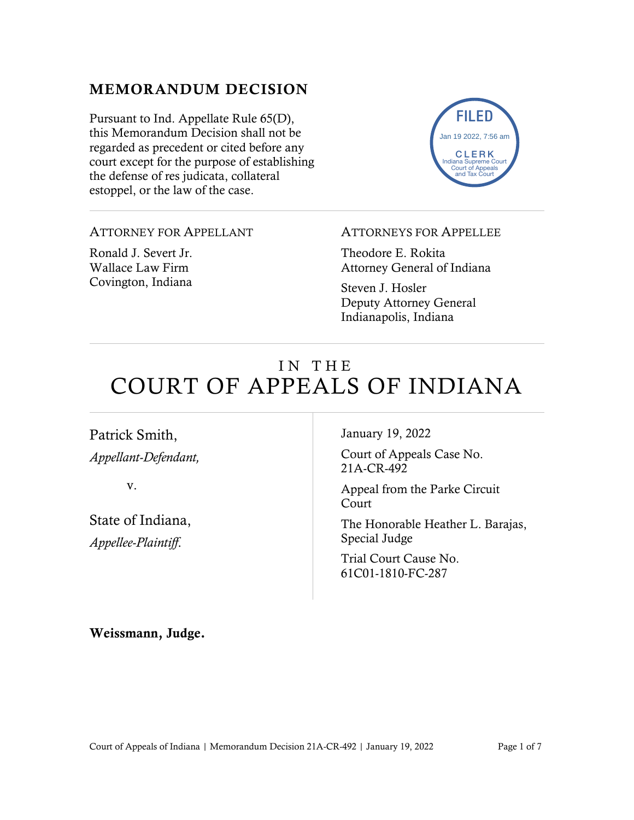### MEMORANDUM DECISION

Pursuant to Ind. Appellate Rule 65(D), this Memorandum Decision shall not be regarded as precedent or cited before any court except for the purpose of establishing the defense of res judicata, collateral estoppel, or the law of the case.



### ATTORNEY FOR APPELLANT

Ronald J. Severt Jr. Wallace Law Firm Covington, Indiana

#### ATTORNEYS FOR APPELLEE

Theodore E. Rokita Attorney General of Indiana

Steven J. Hosler Deputy Attorney General Indianapolis, Indiana

# IN THE COURT OF APPEALS OF INDIANA

Patrick Smith, *Appellant-Defendant,*

v.

State of Indiana, *Appellee-Plaintiff*.

January 19, 2022

Court of Appeals Case No. 21A-CR-492

Appeal from the Parke Circuit Court

The Honorable Heather L. Barajas, Special Judge

Trial Court Cause No. 61C01-1810-FC-287

Weissmann, Judge.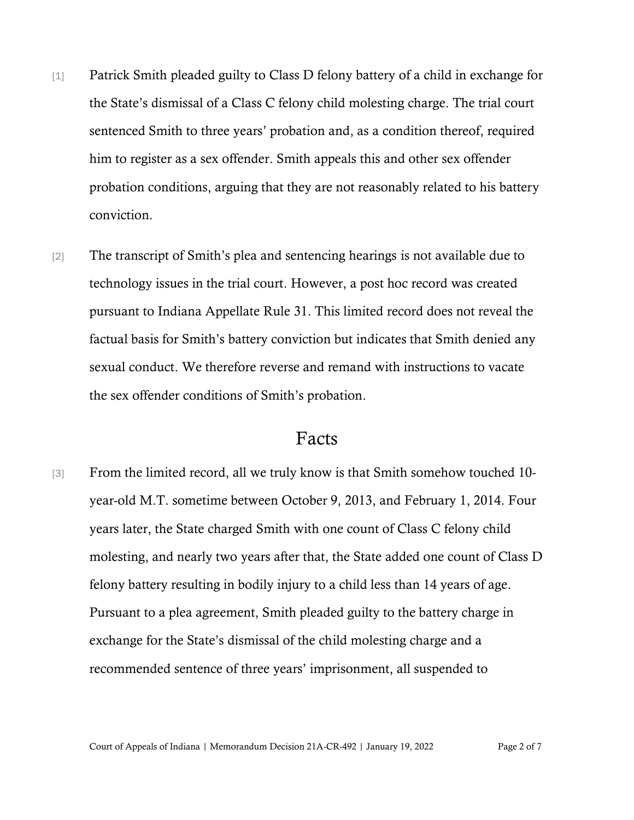- [1] Patrick Smith pleaded guilty to Class D felony battery of a child in exchange for the State's dismissal of a Class C felony child molesting charge. The trial court sentenced Smith to three years' probation and, as a condition thereof, required him to register as a sex offender. Smith appeals this and other sex offender probation conditions, arguing that they are not reasonably related to his battery conviction.
- [2] The transcript of Smith's plea and sentencing hearings is not available due to technology issues in the trial court. However, a post hoc record was created pursuant to Indiana Appellate Rule 31. This limited record does not reveal the factual basis for Smith's battery conviction but indicates that Smith denied any sexual conduct. We therefore reverse and remand with instructions to vacate the sex offender conditions of Smith's probation.

## Facts

[3] From the limited record, all we truly know is that Smith somehow touched 10year-old M.T. sometime between October 9, 2013, and February 1, 2014. Four years later, the State charged Smith with one count of Class C felony child molesting, and nearly two years after that, the State added one count of Class D felony battery resulting in bodily injury to a child less than 14 years of age. Pursuant to a plea agreement, Smith pleaded guilty to the battery charge in exchange for the State's dismissal of the child molesting charge and a recommended sentence of three years' imprisonment, all suspended to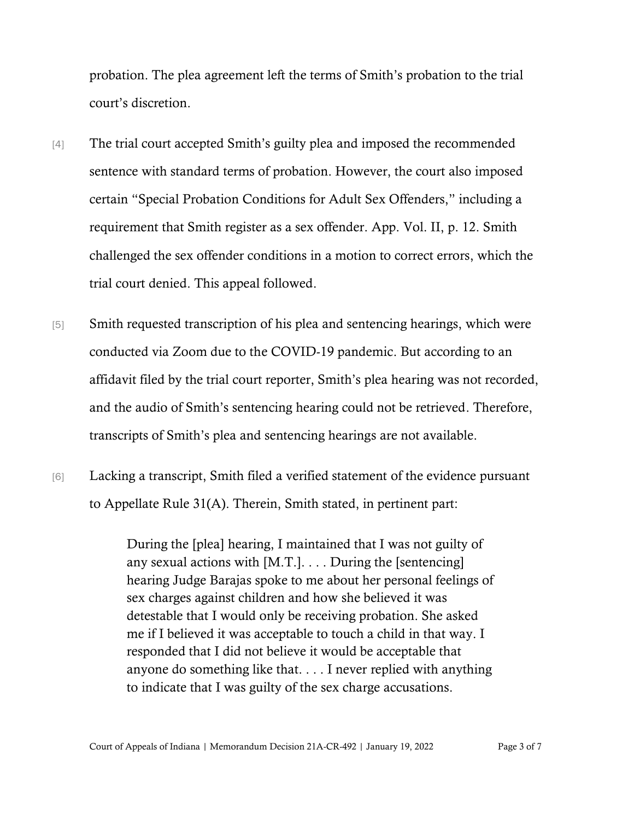probation. The plea agreement left the terms of Smith's probation to the trial court's discretion.

- [4] The trial court accepted Smith's guilty plea and imposed the recommended sentence with standard terms of probation. However, the court also imposed certain "Special Probation Conditions for Adult Sex Offenders," including a requirement that Smith register as a sex offender. App. Vol. II, p. 12. Smith challenged the sex offender conditions in a motion to correct errors, which the trial court denied. This appeal followed.
- [5] Smith requested transcription of his plea and sentencing hearings, which were conducted via Zoom due to the COVID-19 pandemic. But according to an affidavit filed by the trial court reporter, Smith's plea hearing was not recorded, and the audio of Smith's sentencing hearing could not be retrieved. Therefore, transcripts of Smith's plea and sentencing hearings are not available.
- [6] Lacking a transcript, Smith filed a verified statement of the evidence pursuant to Appellate Rule 31(A). Therein, Smith stated, in pertinent part:

During the [plea] hearing, I maintained that I was not guilty of any sexual actions with [M.T.]. . . . During the [sentencing] hearing Judge Barajas spoke to me about her personal feelings of sex charges against children and how she believed it was detestable that I would only be receiving probation. She asked me if I believed it was acceptable to touch a child in that way. I responded that I did not believe it would be acceptable that anyone do something like that. . . . I never replied with anything to indicate that I was guilty of the sex charge accusations.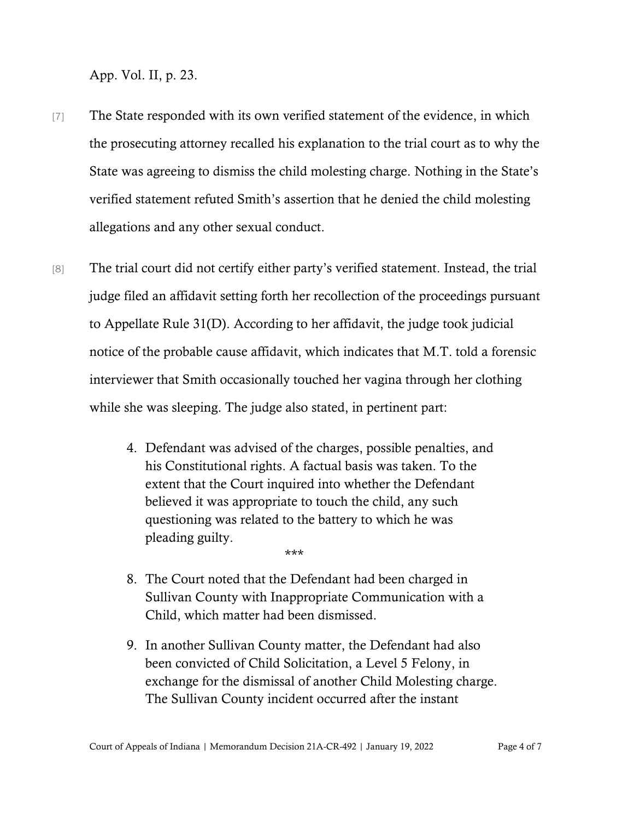App. Vol. II, p. 23.

- [7] The State responded with its own verified statement of the evidence, in which the prosecuting attorney recalled his explanation to the trial court as to why the State was agreeing to dismiss the child molesting charge. Nothing in the State's verified statement refuted Smith's assertion that he denied the child molesting allegations and any other sexual conduct.
- [8] The trial court did not certify either party's verified statement. Instead, the trial judge filed an affidavit setting forth her recollection of the proceedings pursuant to Appellate Rule 31(D). According to her affidavit, the judge took judicial notice of the probable cause affidavit, which indicates that M.T. told a forensic interviewer that Smith occasionally touched her vagina through her clothing while she was sleeping. The judge also stated, in pertinent part:
	- 4. Defendant was advised of the charges, possible penalties, and his Constitutional rights. A factual basis was taken. To the extent that the Court inquired into whether the Defendant believed it was appropriate to touch the child, any such questioning was related to the battery to which he was pleading guilty.
	- 8. The Court noted that the Defendant had been charged in Sullivan County with Inappropriate Communication with a Child, which matter had been dismissed.

\*\*\*

9. In another Sullivan County matter, the Defendant had also been convicted of Child Solicitation, a Level 5 Felony, in exchange for the dismissal of another Child Molesting charge. The Sullivan County incident occurred after the instant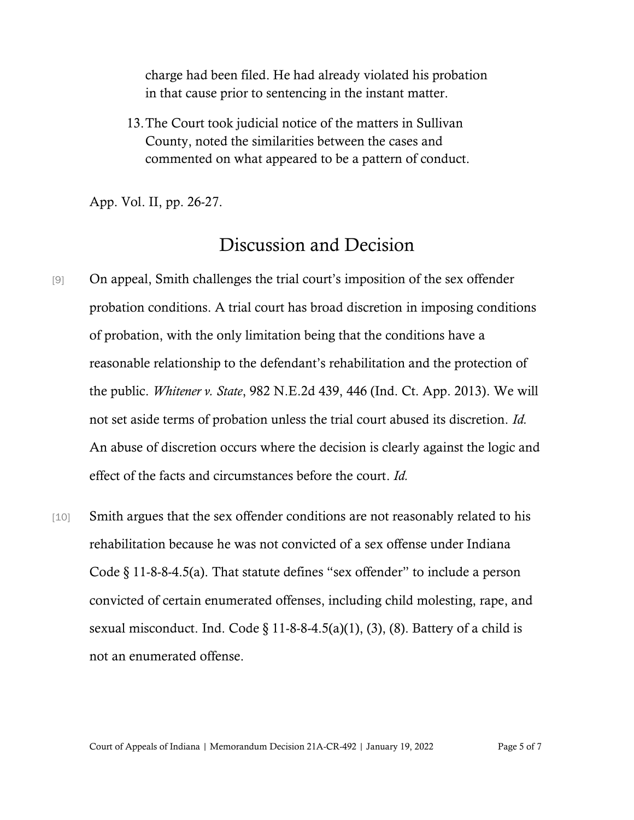charge had been filed. He had already violated his probation in that cause prior to sentencing in the instant matter.

13.The Court took judicial notice of the matters in Sullivan County, noted the similarities between the cases and commented on what appeared to be a pattern of conduct.

App. Vol. II, pp. 26-27.

## Discussion and Decision

- [9] On appeal, Smith challenges the trial court's imposition of the sex offender probation conditions. A trial court has broad discretion in imposing conditions of probation, with the only limitation being that the conditions have a reasonable relationship to the defendant's rehabilitation and the protection of the public. *Whitener v. State*, 982 N.E.2d 439, 446 (Ind. Ct. App. 2013). We will not set aside terms of probation unless the trial court abused its discretion. *Id.* An abuse of discretion occurs where the decision is clearly against the logic and effect of the facts and circumstances before the court. *Id.*
- [10] Smith argues that the sex offender conditions are not reasonably related to his rehabilitation because he was not convicted of a sex offense under Indiana Code § 11-8-8-4.5(a). That statute defines "sex offender" to include a person convicted of certain enumerated offenses, including child molesting, rape, and sexual misconduct. Ind. Code  $\S 11-8-8-4.5(a)(1)$ , (3), (8). Battery of a child is not an enumerated offense.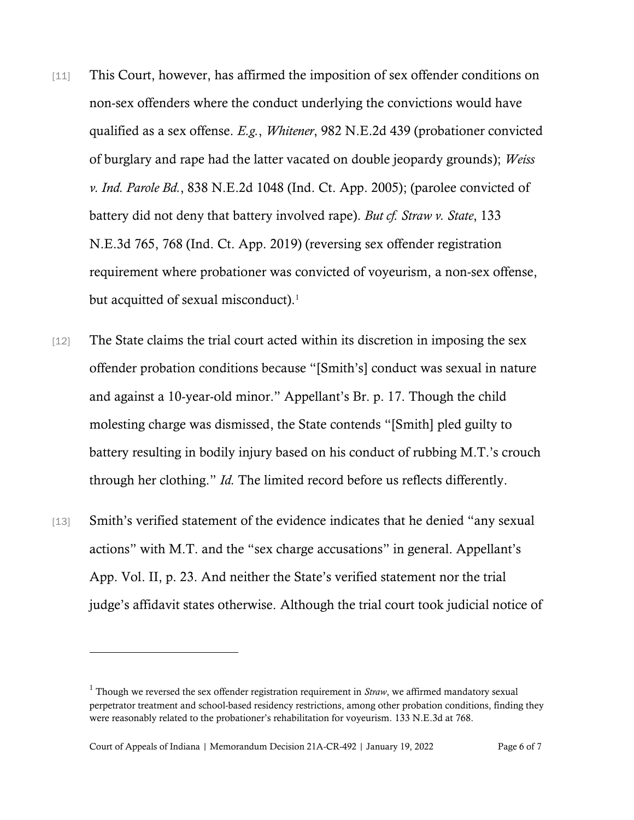- [11] This Court, however, has affirmed the imposition of sex offender conditions on non-sex offenders where the conduct underlying the convictions would have qualified as a sex offense. *E.g.*, *Whitener*, 982 N.E.2d 439 (probationer convicted of burglary and rape had the latter vacated on double jeopardy grounds); *Weiss v. Ind. Parole Bd.*, 838 N.E.2d 1048 (Ind. Ct. App. 2005); (parolee convicted of battery did not deny that battery involved rape). *But cf. Straw v. State*, 133 N.E.3d 765, 768 (Ind. Ct. App. 2019) (reversing sex offender registration requirement where probationer was convicted of voyeurism, a non-sex offense, but acquitted of sexual misconduct).<sup>1</sup>
- [12] The State claims the trial court acted within its discretion in imposing the sex offender probation conditions because "[Smith's] conduct was sexual in nature and against a 10-year-old minor." Appellant's Br. p. 17. Though the child molesting charge was dismissed, the State contends "[Smith] pled guilty to battery resulting in bodily injury based on his conduct of rubbing M.T.'s crouch through her clothing." *Id.* The limited record before us reflects differently.
- [13] Smith's verified statement of the evidence indicates that he denied "any sexual actions" with M.T. and the "sex charge accusations" in general. Appellant's App. Vol. II, p. 23. And neither the State's verified statement nor the trial judge's affidavit states otherwise. Although the trial court took judicial notice of

<sup>1</sup> Though we reversed the sex offender registration requirement in *Straw*, we affirmed mandatory sexual perpetrator treatment and school-based residency restrictions, among other probation conditions, finding they were reasonably related to the probationer's rehabilitation for voyeurism. 133 N.E.3d at 768.